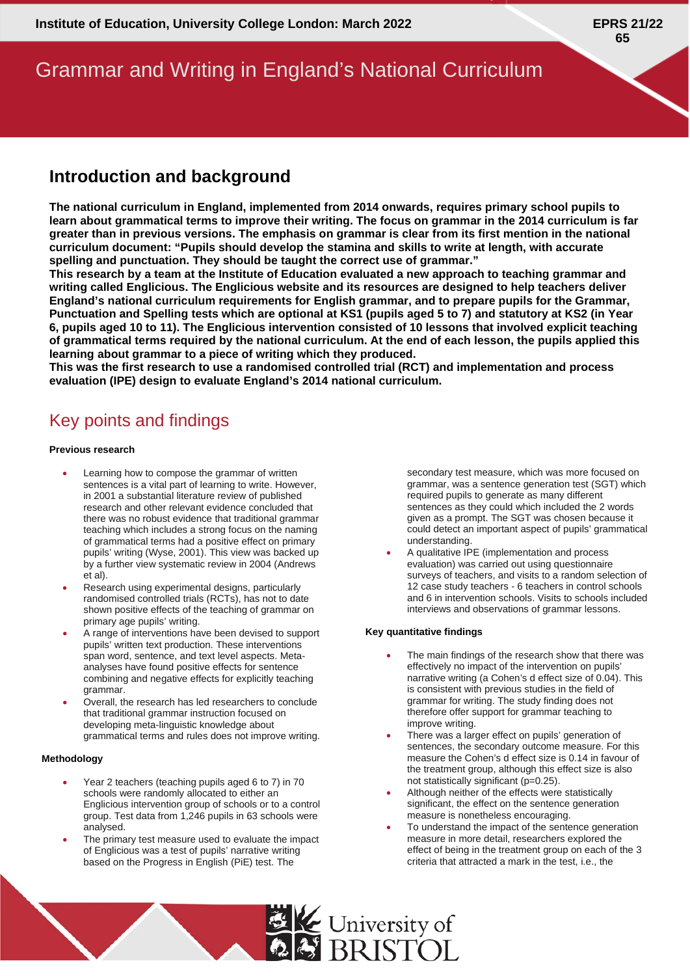# Grammar and Writing in England's National Curriculum

### **Introduction and background**

**The national curriculum in England, implemented from 2014 onwards, requires primary school pupils to learn about grammatical terms to improve their writing. The focus on grammar in the 2014 curriculum is far greater than in previous versions. The emphasis on grammar is clear from its first mention in the national curriculum document: "Pupils should develop the stamina and skills to write at length, with accurate spelling and punctuation. They should be taught the correct use of grammar."**

**This research by a team at the Institute of Education evaluated a new approach to teaching grammar and writing called Englicious. The Englicious website and its resources are designed to help teachers deliver England's national curriculum requirements for English grammar, and to prepare pupils for the Grammar, Punctuation and Spelling tests which are optional at KS1 (pupils aged 5 to 7) and statutory at KS2 (in Year 6, pupils aged 10 to 11). The Englicious intervention consisted of 10 lessons that involved explicit teaching of grammatical terms required by the national curriculum. At the end of each lesson, the pupils applied this learning about grammar to a piece of writing which they produced.** 

**This was the first research to use a randomised controlled trial (RCT) and implementation and process evaluation (IPE) design to evaluate England's 2014 national curriculum.** 

### Key points and findings

#### **Previous research**

- Learning how to compose the grammar of written sentences is a vital part of learning to write. However, in 2001 a substantial literature review of published research and other relevant evidence concluded that there was no robust evidence that traditional grammar teaching which includes a strong focus on the naming of grammatical terms had a positive effect on primary pupils' writing (Wyse, 2001). This view was backed up by a further view systematic review in 2004 (Andrews et al).
- Research using experimental designs, particularly randomised controlled trials (RCTs), has not to date shown positive effects of the teaching of grammar on primary age pupils' writing.
- A range of interventions have been devised to support pupils' written text production. These interventions span word, sentence, and text level aspects. Metaanalyses have found positive effects for sentence combining and negative effects for explicitly teaching grammar.
- Overall, the research has led researchers to conclude that traditional grammar instruction focused on developing meta-linguistic knowledge about grammatical terms and rules does not improve writing.

#### **Methodology**

- Year 2 teachers (teaching pupils aged 6 to 7) in 70 schools were randomly allocated to either an Englicious intervention group of schools or to a control group. Test data from 1,246 pupils in 63 schools were analysed.
- The primary test measure used to evaluate the impact of Englicious was a test of pupils' narrative writing based on the Progress in English (PiE) test. The

secondary test measure, which was more focused on grammar, was a sentence generation test (SGT) which required pupils to generate as many different sentences as they could which included the 2 words given as a prompt. The SGT was chosen because it could detect an important aspect of pupils' grammatical understanding.

• A qualitative IPE (implementation and process evaluation) was carried out using questionnaire surveys of teachers, and visits to a random selection of 12 case study teachers - 6 teachers in control schools and 6 in intervention schools. Visits to schools included interviews and observations of grammar lessons.

#### **Key quantitative findings**

- The main findings of the research show that there was effectively no impact of the intervention on pupils' narrative writing (a Cohen's d effect size of 0.04). This is consistent with previous studies in the field of grammar for writing. The study finding does not therefore offer support for grammar teaching to improve writing.
- There was a larger effect on pupils' generation of sentences, the secondary outcome measure. For this measure the Cohen's d effect size is 0.14 in favour of the treatment group, although this effect size is also not statistically significant (p=0.25).
- Although neither of the effects were statistically significant, the effect on the sentence generation measure is nonetheless encouraging.
- To understand the impact of the sentence generation measure in more detail, researchers explored the effect of being in the treatment group on each of the 3 criteria that attracted a mark in the test, i.e., the